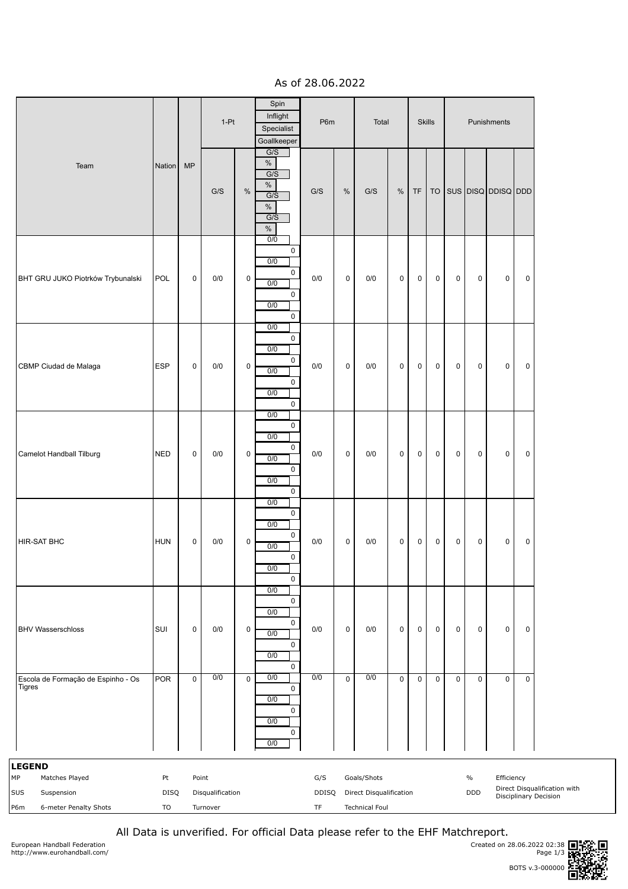As of 28.06.2022

|                                                                                            |                  |             | $1-Pt$                                |             | Spin<br>Inflight<br>P6m<br>Specialist<br>Goallkeeper                                            |                           | Total        | <b>Skills</b>                                                   |             |             |             | Punishments         |                             |                       |                                                              |
|--------------------------------------------------------------------------------------------|------------------|-------------|---------------------------------------|-------------|-------------------------------------------------------------------------------------------------|---------------------------|--------------|-----------------------------------------------------------------|-------------|-------------|-------------|---------------------|-----------------------------|-----------------------|--------------------------------------------------------------|
| Team                                                                                       | Nation           | MP          | G/S                                   | $\%$        | G/S<br>$\%$<br>$\overline{G/S}$<br>$\%$<br>G/S<br>$\%$<br>G/S<br>$\%$                           | $\mathrm{G/S}$            | $\%$         | G/S                                                             | $\%$        | TF          |             |                     |                             | TO SUS DISQ DDISQ DDD |                                                              |
| BHT GRU JUKO Piotrków Trybunalski                                                          | POL              | 0           | 0/0                                   | $\pmb{0}$   | $\overline{0/0}$<br>0<br>0/0<br>0<br>0/0<br>0<br>0/0<br>$\overline{0}$                          | 0/0                       | 0            | 0/0                                                             | 0           | 0           | 0           | $\mathbf 0$         | $\mathbf 0$                 | 0                     | $\mathsf 0$                                                  |
| CBMP Ciudad de Malaga                                                                      | <b>ESP</b>       | $\mathbf 0$ | 0/0                                   | 0           | 0/0<br>$\mathsf{O}\xspace$<br>0/0<br>$\mathsf 0$<br>0/0<br>$\mathsf 0$<br>0/0<br>$\overline{0}$ | 0/0                       | $\mathsf{O}$ | 0/0                                                             | $\pmb{0}$   | $\mathbf 0$ | 0           | $\mathsf 0$         | $\mathsf 0$                 | 0                     | $\mathbf 0$                                                  |
| Camelot Handball Tilburg                                                                   | <b>NED</b>       | $\mathbf 0$ | 0/0                                   | $\pmb{0}$   | 0/0<br>$\mathsf{O}\xspace$<br>0/0<br>0<br>0/0<br>$\mathbf 0$<br>0/0<br>$\mathbf 0$              | $0/0$                     | $\mathsf{O}$ | 0/0                                                             | $\pmb{0}$   | 0           | $\mathbf 0$ | $\mathsf{O}\xspace$ | $\mathsf 0$                 | $\pmb{0}$             | $\mathsf 0$                                                  |
| <b>HIR-SAT BHC</b>                                                                         | <b>HUN</b>       | $\mathbf 0$ | 0/0                                   | $\pmb{0}$   | 0/0<br>$\mathsf{O}\xspace$<br>0/0<br>0<br>0/0<br>$\mathbf 0$<br>0/0<br>$\pmb{0}$                | 0/0                       | 0            | 0/0                                                             | $\pmb{0}$   | 0           | 0           | $\mathbf 0$         | $\mathsf 0$                 | $\pmb{0}$             | 0                                                            |
| <b>BHV Wasserschloss</b>                                                                   | SUI              | $\mathbf 0$ | 0/0                                   | 0           | 0/0<br>$\mathsf 0$<br>0/0<br>0<br>0/0<br>0<br>0/0<br>$\mathsf{O}$                               | 0/0                       | 0            | 0/0                                                             | $\mathbf 0$ | 0           | 0           | $\mathbf 0$         | $\mathbf 0$                 | $\pmb{0}$             | $\mathbf 0$                                                  |
| Escola de Formação de Espinho - Os<br><b>Tigres</b>                                        | <b>POR</b>       | $\mathbf 0$ | 0/0                                   | $\mathbf 0$ | 0/0<br>0<br>0/0<br>0<br>0/0<br>0<br>0/0                                                         | 0/0                       | $\mathbf 0$  | 0/0                                                             | $\mathbf 0$ | 0           | $\mathbf 0$ | $\mathbf 0$         | $\mathbf 0$                 | 0                     | 0                                                            |
| <b>LEGEND</b><br>МP<br>Matches Played<br>SUS<br>Suspension<br>P6m<br>6-meter Penalty Shots | Pt<br>DISQ<br>TO |             | Point<br>Disqualification<br>Turnover |             |                                                                                                 | G/S<br>DDISQ<br><b>TF</b> |              | Goals/Shots<br>Direct Disqualification<br><b>Technical Foul</b> |             |             |             |                     | $\frac{0}{0}$<br><b>DDD</b> | Efficiency            | Direct Disqualification with<br><b>Disciplinary Decision</b> |

All Data is unverified. For official Data please refer to the EHF Matchreport.

European Handball Federation http://www.eurohandball.com/

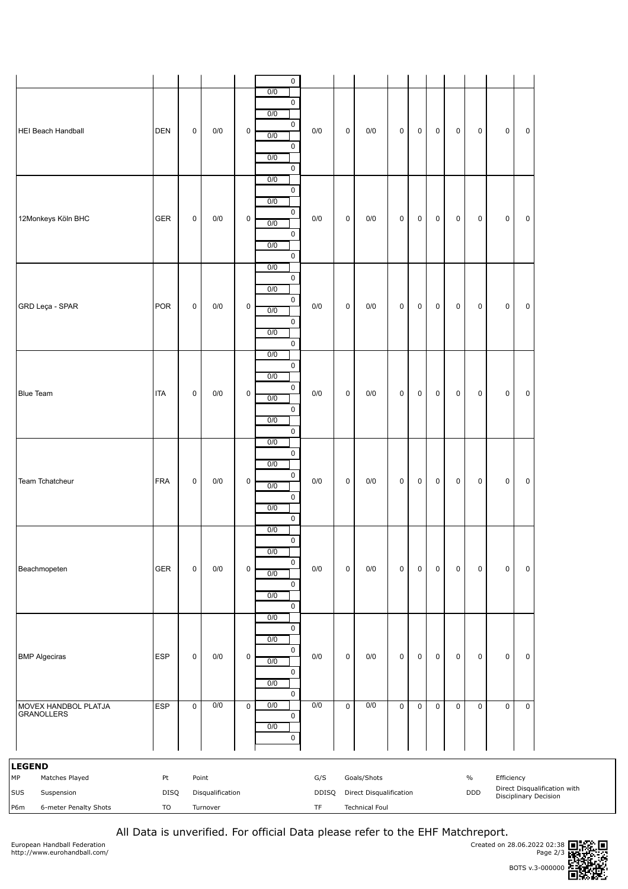|                                                                                            |                  |                     |                              |                     | $\mathsf 0$                                                              |                                                                  |                     |                                                                 |             |                     |                     |             |                    |             |             |                                                              |
|--------------------------------------------------------------------------------------------|------------------|---------------------|------------------------------|---------------------|--------------------------------------------------------------------------|------------------------------------------------------------------|---------------------|-----------------------------------------------------------------|-------------|---------------------|---------------------|-------------|--------------------|-------------|-------------|--------------------------------------------------------------|
| <b>HEI Beach Handball</b>                                                                  | <b>DEN</b>       | $\mathsf{O}\xspace$ | 0/0                          | $\mathsf{O}\xspace$ | 0/0<br>$\pmb{0}$<br>0/0<br>$\pmb{0}$<br>0/0<br>$\mathbf 0$<br>0/0<br>0   | $0/0$                                                            | $\mathsf{O}\xspace$ | 0/0                                                             | $\pmb{0}$   | $\mathsf{O}\xspace$ | $\mathsf 0$         | $\mathbf 0$ | $\mathsf 0$        | $\mathsf 0$ | $\mathsf 0$ |                                                              |
| 12Monkeys Köln BHC                                                                         | <b>GER</b>       | $\mathbf 0$         | 0/0                          | $\mathsf 0$         | 0/0<br>0<br>0/0<br>$\pmb{0}$<br>0/0<br>$\mathbf 0$<br>0/0<br>$\mathsf 0$ | $0/0$                                                            | $\mathsf{O}$        | 0/0                                                             | $\pmb{0}$   | $\mathsf 0$         | $\mathsf{O}\xspace$ | $\mathsf 0$ | $\mathsf 0$        | 0           | $\mathbf 0$ |                                                              |
| GRD Leça - SPAR                                                                            | <b>POR</b>       | $\mathbf 0$         | 0/0                          | $\mathsf{O}\xspace$ | 0/0<br>0<br>0/0<br>0<br>0/0<br>0<br>0/0<br>$\mathbf 0$                   | $0/0$                                                            | $\mathsf{O}$        | 0/0                                                             | $\mathsf 0$ | $\mathsf{O}\xspace$ | $\mathbf 0$         | $\mathbf 0$ | $\mathbf 0$        | 0           | $\mathbf 0$ |                                                              |
| <b>Blue Team</b>                                                                           | <b>ITA</b>       | $\mathbf 0$         | 0/0                          | $\mathsf{O}\xspace$ | 0/0<br>0<br>0/0<br>0<br>0/0<br>0<br>0/0<br>$\pmb{0}$                     | 0/0                                                              | $\mathsf{O}$        | 0/0                                                             | $\mathsf 0$ | $\mathsf 0$         | $\mathsf{O}\xspace$ | $\mathbf 0$ | $\mathsf 0$        | $\mathsf 0$ | $\pmb{0}$   |                                                              |
| Team Tchatcheur                                                                            | <b>FRA</b>       | $\mathbf 0$         | 0/0                          | $\mathsf 0$         | 0/0<br>0<br>0/0<br>0<br>0/0<br>$\pmb{0}$<br>0/0<br>$\mathbf 0$           | $0/0$                                                            | $\mathsf{O}$        | 0/0                                                             | $\mathsf 0$ | $\mathsf 0$         | $\mathsf{O}\xspace$ | $\mathbf 0$ | $\mathsf 0$        | 0           | $\pmb{0}$   |                                                              |
| Beachmopeten                                                                               | GER              | $\mathsf 0$         | 0/0                          | $\mathbf 0$         | 0/0<br>0<br>0/0<br>0<br>0/0<br>0<br>0/0<br>$\pmb{0}$                     | $0/0$                                                            | $\pmb{0}$           | 0/0                                                             | $\mathsf 0$ | 0                   | $\mathsf 0$         | $\mathsf 0$ | $\pmb{0}$          | 0           | $\mathbf 0$ |                                                              |
| <b>BMP Algeciras</b>                                                                       | <b>ESP</b>       | $\mathsf 0$         | 0/0                          | 0                   | 0/0<br>$\pmb{0}$<br>0/0<br>0<br>0/0<br>$\mathbf 0$<br>0/0<br>0           | $0/0$                                                            | $\pmb{0}$           | 0/0                                                             | $\mathsf 0$ | $\pmb{0}$           | 0                   | 0           | $\pmb{0}$          | 0           | $\mathbf 0$ |                                                              |
| MOVEX HANDBOL PLATJA<br><b>GRANOLLERS</b>                                                  | <b>ESP</b>       | $\mathsf 0$         | 0/0                          | $\mathbf 0$         | 0/0<br>0<br>0/0<br>0                                                     | 0/0                                                              | $\pmb{0}$           | 0/0                                                             | $\mathsf 0$ | $\pmb{0}$           | $\mathbf 0$         | 0           | $\mathbf 0$        | 0           | $\mathbf 0$ |                                                              |
| <b>LEGEND</b><br>МP<br>Matches Played<br>SUS<br>Suspension<br>6-meter Penalty Shots<br>P6m | Pt<br>DISQ<br>TO | Point               | Disqualification<br>Turnover |                     |                                                                          | G/S<br>DDISQ<br>$\ensuremath{\mathsf{T}}\ensuremath{\mathsf{F}}$ |                     | Goals/Shots<br>Direct Disqualification<br><b>Technical Foul</b> |             |                     |                     |             | $\%$<br><b>DDD</b> | Efficiency  |             | Direct Disqualification with<br><b>Disciplinary Decision</b> |

All Data is unverified. For official Data please refer to the EHF Matchreport.

European Handball Federation http://www.eurohandball.com/